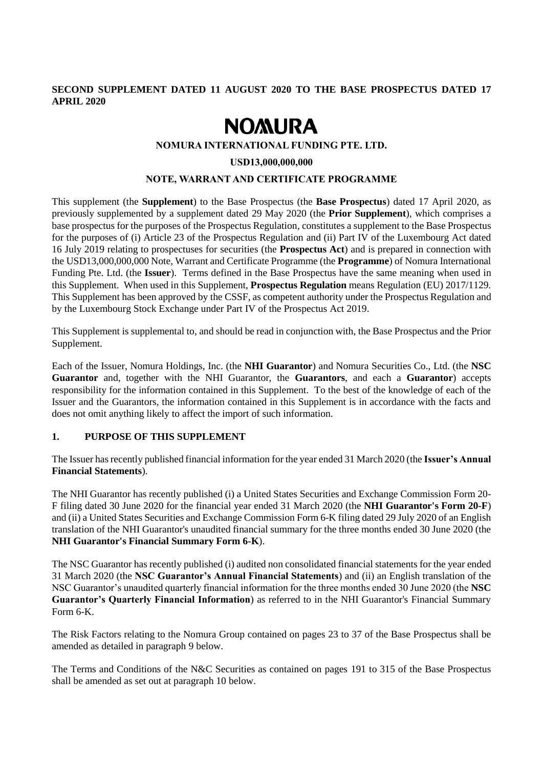# **SECOND SUPPLEMENT DATED 11 AUGUST 2020 TO THE BASE PROSPECTUS DATED 17 APRIL 2020**

# **NOMURA**

## **NOMURA INTERNATIONAL FUNDING PTE. LTD.**

#### **USD13,000,000,000**

## **NOTE, WARRANT AND CERTIFICATE PROGRAMME**

This supplement (the **Supplement**) to the Base Prospectus (the **Base Prospectus**) dated 17 April 2020, as previously supplemented by a supplement dated 29 May 2020 (the **Prior Supplement**), which comprises a base prospectus for the purposes of the Prospectus Regulation, constitutes a supplement to the Base Prospectus for the purposes of (i) Article 23 of the Prospectus Regulation and (ii) Part IV of the Luxembourg Act dated 16 July 2019 relating to prospectuses for securities (the **Prospectus Act**) and is prepared in connection with the USD13,000,000,000 Note, Warrant and Certificate Programme (the **Programme**) of Nomura International Funding Pte. Ltd. (the **Issuer**). Terms defined in the Base Prospectus have the same meaning when used in this Supplement. When used in this Supplement, **Prospectus Regulation** means Regulation (EU) 2017/1129. This Supplement has been approved by the CSSF, as competent authority under the Prospectus Regulation and by the Luxembourg Stock Exchange under Part IV of the Prospectus Act 2019.

This Supplement is supplemental to, and should be read in conjunction with, the Base Prospectus and the Prior Supplement.

Each of the Issuer, Nomura Holdings, Inc. (the **NHI Guarantor**) and Nomura Securities Co., Ltd. (the **NSC Guarantor** and, together with the NHI Guarantor, the **Guarantors**, and each a **Guarantor**) accepts responsibility for the information contained in this Supplement. To the best of the knowledge of each of the Issuer and the Guarantors, the information contained in this Supplement is in accordance with the facts and does not omit anything likely to affect the import of such information.

# **1. PURPOSE OF THIS SUPPLEMENT**

The Issuer has recently published financial information for the year ended 31 March 2020 (the **Issuer's Annual Financial Statements**).

The NHI Guarantor has recently published (i) a United States Securities and Exchange Commission Form 20- F filing dated 30 June 2020 for the financial year ended 31 March 2020 (the **NHI Guarantor's Form 20-F**) and (ii) a United States Securities and Exchange Commission Form 6-K filing dated 29 July 2020 of an English translation of the NHI Guarantor's unaudited financial summary for the three months ended 30 June 2020 (the **NHI Guarantor's Financial Summary Form 6-K**).

The NSC Guarantor has recently published (i) audited non consolidated financial statements for the year ended 31 March 2020 (the **NSC Guarantor's Annual Financial Statements**) and (ii) an English translation of the NSC Guarantor's unaudited quarterly financial information for the three months ended 30 June 2020 (the **NSC Guarantor's Quarterly Financial Information**) as referred to in the NHI Guarantor's Financial Summary Form 6-K.

The Risk Factors relating to the Nomura Group contained on pages 23 to 37 of the Base Prospectus shall be amended as detailed in paragraph 9 below.

The Terms and Conditions of the N&C Securities as contained on pages 191 to 315 of the Base Prospectus shall be amended as set out at paragraph 10 below.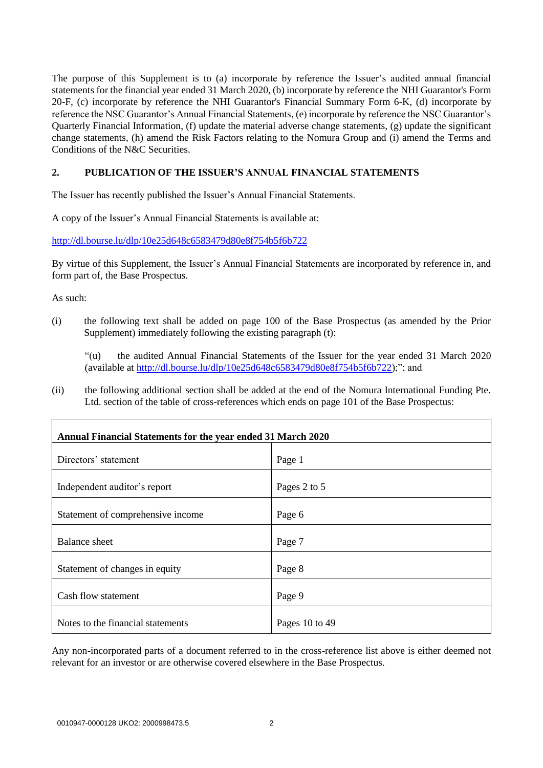The purpose of this Supplement is to (a) incorporate by reference the Issuer's audited annual financial statements for the financial year ended 31 March 2020, (b) incorporate by reference the NHI Guarantor's Form 20-F, (c) incorporate by reference the NHI Guarantor's Financial Summary Form 6-K, (d) incorporate by reference the NSC Guarantor's Annual Financial Statements, (e) incorporate by reference the NSC Guarantor's Quarterly Financial Information, (f) update the material adverse change statements, (g) update the significant change statements, (h) amend the Risk Factors relating to the Nomura Group and (i) amend the Terms and Conditions of the N&C Securities.

# **2. PUBLICATION OF THE ISSUER'S ANNUAL FINANCIAL STATEMENTS**

The Issuer has recently published the Issuer's Annual Financial Statements.

A copy of the Issuer's Annual Financial Statements is available at:

<http://dl.bourse.lu/dlp/10e25d648c6583479d80e8f754b5f6b722>

By virtue of this Supplement, the Issuer's Annual Financial Statements are incorporated by reference in, and form part of, the Base Prospectus.

As such:

Г

(i) the following text shall be added on page 100 of the Base Prospectus (as amended by the Prior Supplement) immediately following the existing paragraph (t):

"(u) the audited Annual Financial Statements of the Issuer for the year ended 31 March 2020 (available at [http://dl.bourse.lu/dlp/10e25d648c6583479d80e8f754b5f6b722\)](http://dl.bourse.lu/dlp/10e25d648c6583479d80e8f754b5f6b722);"; and

(ii) the following additional section shall be added at the end of the Nomura International Funding Pte. Ltd. section of the table of cross-references which ends on page 101 of the Base Prospectus:

| Annual Financial Statements for the year ended 31 March 2020 |                |  |
|--------------------------------------------------------------|----------------|--|
| Directors' statement                                         | Page 1         |  |
| Independent auditor's report                                 | Pages 2 to 5   |  |
| Statement of comprehensive income                            | Page 6         |  |
| <b>Balance</b> sheet                                         | Page 7         |  |
| Statement of changes in equity                               | Page 8         |  |
| Cash flow statement                                          | Page 9         |  |
| Notes to the financial statements                            | Pages 10 to 49 |  |

Any non-incorporated parts of a document referred to in the cross-reference list above is either deemed not relevant for an investor or are otherwise covered elsewhere in the Base Prospectus.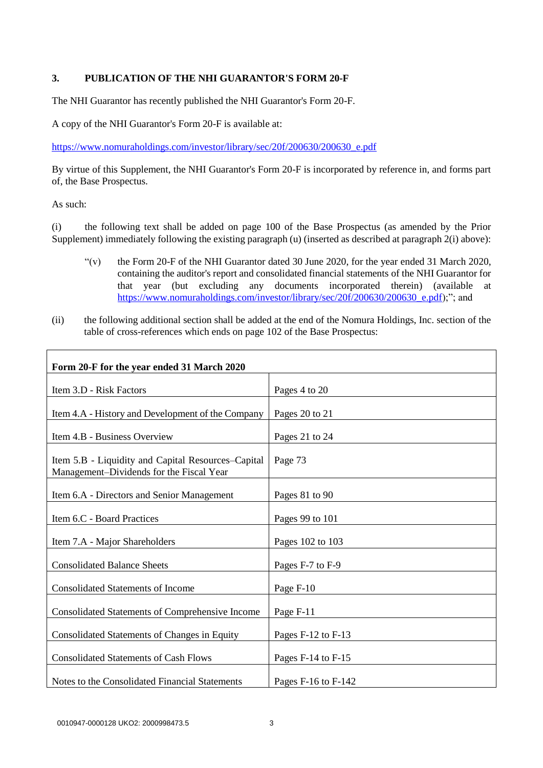# **3. PUBLICATION OF THE NHI GUARANTOR'S FORM 20-F**

The NHI Guarantor has recently published the NHI Guarantor's Form 20-F.

A copy of the NHI Guarantor's Form 20-F is available at:

https://www.nomuraholdings.com/investor/library/sec/20f/200630/200630\_e.pdf

By virtue of this Supplement, the NHI Guarantor's Form 20-F is incorporated by reference in, and forms part of, the Base Prospectus.

As such:

(i) the following text shall be added on page 100 of the Base Prospectus (as amended by the Prior Supplement) immediately following the existing paragraph (u) (inserted as described at paragraph 2(i) above):

- "(v) the Form 20-F of the NHI Guarantor dated 30 June 2020, for the year ended 31 March 2020, containing the auditor's report and consolidated financial statements of the NHI Guarantor for that year (but excluding any documents incorporated therein) (available at [https://www.nomuraholdings.com/investor/library/sec/20f/200630/200630\\_e.pdf\)](https://www.nomuraholdings.com/investor/library/sec/20f/200630/200630_e.pdf);"; and
- (ii) the following additional section shall be added at the end of the Nomura Holdings, Inc. section of the table of cross-references which ends on page 102 of the Base Prospectus:

| Form 20-F for the year ended 31 March 2020                                                     |                         |
|------------------------------------------------------------------------------------------------|-------------------------|
| Item 3.D - Risk Factors                                                                        | Pages 4 to 20           |
| Item 4.A - History and Development of the Company                                              | Pages 20 to 21          |
| Item 4.B - Business Overview                                                                   | Pages 21 to 24          |
| Item 5.B - Liquidity and Capital Resources-Capital<br>Management-Dividends for the Fiscal Year | Page 73                 |
| Item 6.A - Directors and Senior Management                                                     | Pages 81 to 90          |
| Item 6.C - Board Practices                                                                     | Pages 99 to 101         |
| Item 7.A - Major Shareholders                                                                  | Pages 102 to 103        |
| <b>Consolidated Balance Sheets</b>                                                             | Pages F-7 to F-9        |
| <b>Consolidated Statements of Income</b>                                                       | Page F-10               |
| <b>Consolidated Statements of Comprehensive Income</b>                                         | Page F-11               |
| Consolidated Statements of Changes in Equity                                                   | Pages F-12 to F-13      |
| <b>Consolidated Statements of Cash Flows</b>                                                   | Pages F-14 to F-15      |
| Notes to the Consolidated Financial Statements                                                 | Pages $F-16$ to $F-142$ |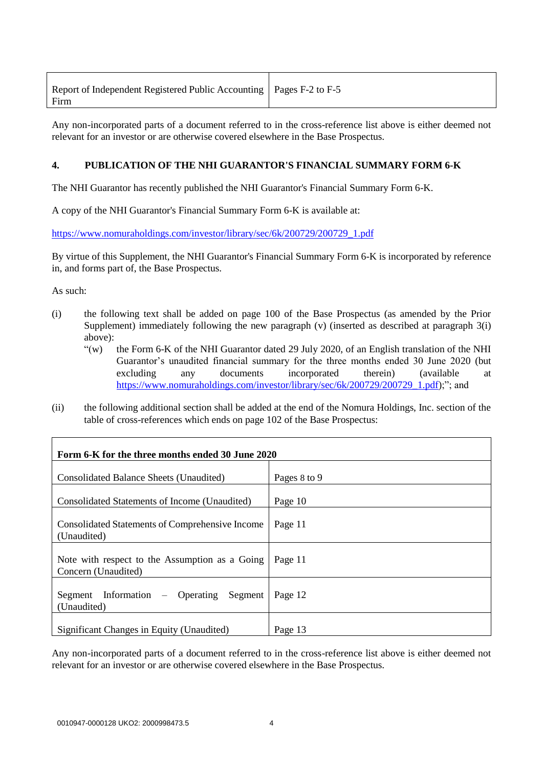| Report of Independent Registered Public Accounting   Pages F-2 to F-5 |  |
|-----------------------------------------------------------------------|--|
| Firm                                                                  |  |

Any non-incorporated parts of a document referred to in the cross-reference list above is either deemed not relevant for an investor or are otherwise covered elsewhere in the Base Prospectus.

# **4. PUBLICATION OF THE NHI GUARANTOR'S FINANCIAL SUMMARY FORM 6-K**

The NHI Guarantor has recently published the NHI Guarantor's Financial Summary Form 6-K.

A copy of the NHI Guarantor's Financial Summary Form 6-K is available at:

[https://www.nomuraholdings.com/investor/library/sec/6k/200729/200729\\_1.pdf](https://www.nomuraholdings.com/investor/library/sec/6k/200729/200729_1.pdf)

By virtue of this Supplement, the NHI Guarantor's Financial Summary Form 6-K is incorporated by reference in, and forms part of, the Base Prospectus.

As such:

- (i) the following text shall be added on page 100 of the Base Prospectus (as amended by the Prior Supplement) immediately following the new paragraph (v) (inserted as described at paragraph 3(i) above):
	- "(w) the Form 6-K of the NHI Guarantor dated 29 July 2020, of an English translation of the NHI Guarantor's unaudited financial summary for the three months ended 30 June 2020 (but excluding any documents incorporated therein) (available at [https://www.nomuraholdings.com/investor/library/sec/6k/200729/200729\\_1.pdf\)](https://www.nomuraholdings.com/investor/library/sec/6k/200729/200729_1.pdf);"; and
- (ii) the following additional section shall be added at the end of the Nomura Holdings, Inc. section of the table of cross-references which ends on page 102 of the Base Prospectus:

| Form 6-K for the three months ended 30 June 2020                      |              |
|-----------------------------------------------------------------------|--------------|
| Consolidated Balance Sheets (Unaudited)                               | Pages 8 to 9 |
| Consolidated Statements of Income (Unaudited)                         | Page 10      |
| <b>Consolidated Statements of Comprehensive Income</b><br>(Unaudited) | Page 11      |
| Note with respect to the Assumption as a Going<br>Concern (Unaudited) | Page 11      |
| Segment Information – Operating<br>Segment<br>(Unaudited)             | Page 12      |
| Significant Changes in Equity (Unaudited)                             | Page 13      |

Any non-incorporated parts of a document referred to in the cross-reference list above is either deemed not relevant for an investor or are otherwise covered elsewhere in the Base Prospectus.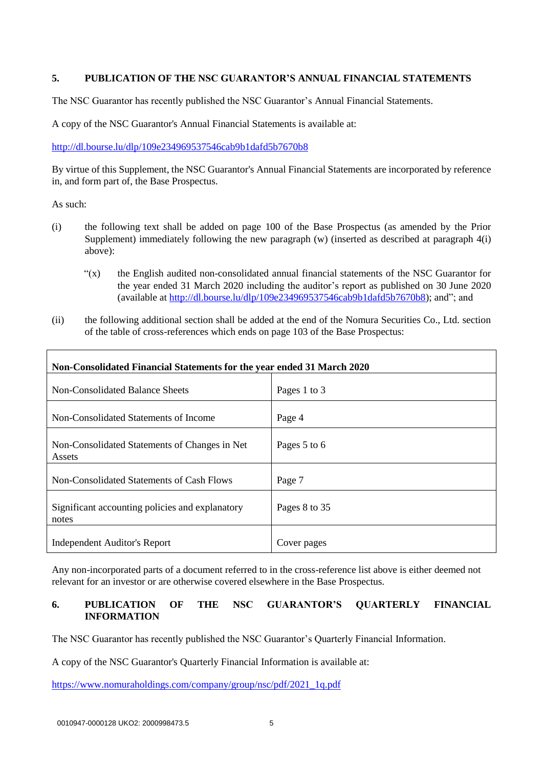# **5. PUBLICATION OF THE NSC GUARANTOR'S ANNUAL FINANCIAL STATEMENTS**

The NSC Guarantor has recently published the NSC Guarantor's Annual Financial Statements.

A copy of the NSC Guarantor's Annual Financial Statements is available at:

<http://dl.bourse.lu/dlp/109e234969537546cab9b1dafd5b7670b8>

By virtue of this Supplement, the NSC Guarantor's Annual Financial Statements are incorporated by reference in, and form part of, the Base Prospectus.

As such:

- (i) the following text shall be added on page 100 of the Base Prospectus (as amended by the Prior Supplement) immediately following the new paragraph (w) (inserted as described at paragraph 4(i) above):
	- "(x) the English audited non-consolidated annual financial statements of the NSC Guarantor for the year ended 31 March 2020 including the auditor's report as published on 30 June 2020 (available at [http://dl.bourse.lu/dlp/109e234969537546cab9b1dafd5b7670b8\)](http://dl.bourse.lu/dlp/109e234969537546cab9b1dafd5b7670b8); and"; and
- (ii) the following additional section shall be added at the end of the Nomura Securities Co., Ltd. section of the table of cross-references which ends on page 103 of the Base Prospectus:

| Non-Consolidated Financial Statements for the year ended 31 March 2020 |               |  |
|------------------------------------------------------------------------|---------------|--|
| Non-Consolidated Balance Sheets                                        | Pages 1 to 3  |  |
| Non-Consolidated Statements of Income                                  | Page 4        |  |
| Non-Consolidated Statements of Changes in Net<br>Assets                | Pages 5 to 6  |  |
| Non-Consolidated Statements of Cash Flows                              | Page 7        |  |
| Significant accounting policies and explanatory<br>notes               | Pages 8 to 35 |  |
| Independent Auditor's Report                                           | Cover pages   |  |

Any non-incorporated parts of a document referred to in the cross-reference list above is either deemed not relevant for an investor or are otherwise covered elsewhere in the Base Prospectus.

# **6. PUBLICATION OF THE NSC GUARANTOR'S QUARTERLY FINANCIAL INFORMATION**

The NSC Guarantor has recently published the NSC Guarantor's Quarterly Financial Information.

A copy of the NSC Guarantor's Quarterly Financial Information is available at:

[https://www.nomuraholdings.com/company/group/nsc/pdf/2021\\_1q.pdf](https://www.nomuraholdings.com/company/group/nsc/pdf/2021_1q.pdf)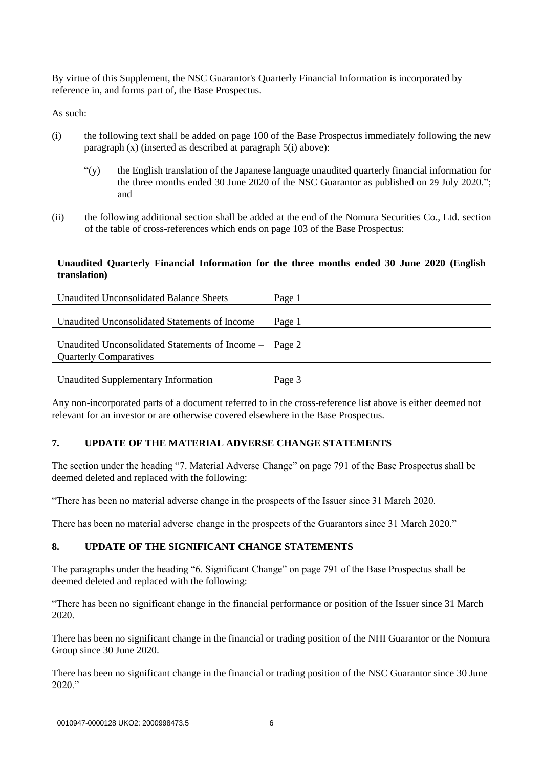By virtue of this Supplement, the NSC Guarantor's Quarterly Financial Information is incorporated by reference in, and forms part of, the Base Prospectus.

As such:

- (i) the following text shall be added on page 100 of the Base Prospectus immediately following the new paragraph (x) (inserted as described at paragraph 5(i) above):
	- "(y) the English translation of the Japanese language unaudited quarterly financial information for the three months ended 30 June 2020 of the NSC Guarantor as published on 29 July 2020."; and
- (ii) the following additional section shall be added at the end of the Nomura Securities Co., Ltd. section of the table of cross-references which ends on page 103 of the Base Prospectus:

# **Unaudited Quarterly Financial Information for the three months ended 30 June 2020 (English translation)**

| Unaudited Unconsolidated Balance Sheets                                                     | Page 1 |
|---------------------------------------------------------------------------------------------|--------|
| Unaudited Unconsolidated Statements of Income                                               | Page 1 |
| Unaudited Unconsolidated Statements of Income $-$   Page 2<br><b>Quarterly Comparatives</b> |        |
| Unaudited Supplementary Information                                                         | Page 3 |

Any non-incorporated parts of a document referred to in the cross-reference list above is either deemed not relevant for an investor or are otherwise covered elsewhere in the Base Prospectus.

# **7. UPDATE OF THE MATERIAL ADVERSE CHANGE STATEMENTS**

The section under the heading "7. Material Adverse Change" on page 791 of the Base Prospectus shall be deemed deleted and replaced with the following:

"There has been no material adverse change in the prospects of the Issuer since 31 March 2020.

There has been no material adverse change in the prospects of the Guarantors since 31 March 2020."

# **8. UPDATE OF THE SIGNIFICANT CHANGE STATEMENTS**

The paragraphs under the heading "6. Significant Change" on page 791 of the Base Prospectus shall be deemed deleted and replaced with the following:

"There has been no significant change in the financial performance or position of the Issuer since 31 March 2020.

There has been no significant change in the financial or trading position of the NHI Guarantor or the Nomura Group since 30 June 2020.

There has been no significant change in the financial or trading position of the NSC Guarantor since 30 June 2020."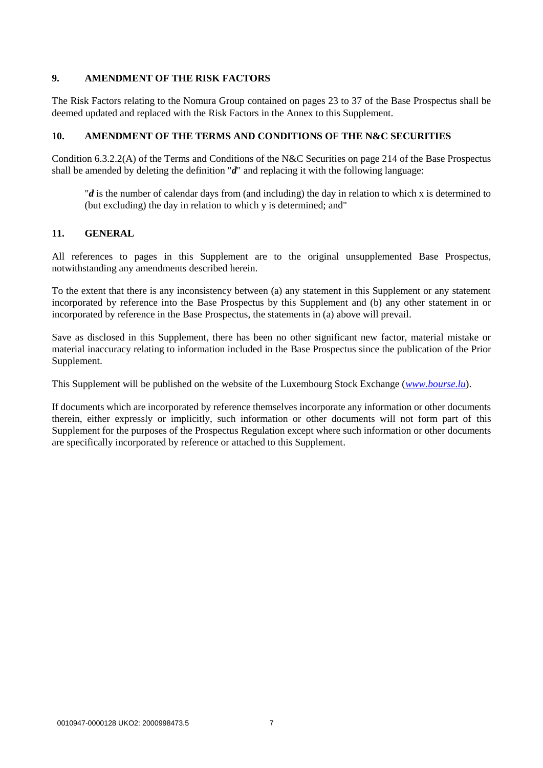# **9. AMENDMENT OF THE RISK FACTORS**

The Risk Factors relating to the Nomura Group contained on pages 23 to 37 of the Base Prospectus shall be deemed updated and replaced with the Risk Factors in the Annex to this Supplement.

# **10. AMENDMENT OF THE TERMS AND CONDITIONS OF THE N&C SECURITIES**

Condition 6.3.2.2(A) of the Terms and Conditions of the N&C Securities on page 214 of the Base Prospectus shall be amended by deleting the definition "*d*" and replacing it with the following language:

"*d* is the number of calendar days from (and including) the day in relation to which x is determined to (but excluding) the day in relation to which y is determined; and"

# **11. GENERAL**

All references to pages in this Supplement are to the original unsupplemented Base Prospectus, notwithstanding any amendments described herein.

To the extent that there is any inconsistency between (a) any statement in this Supplement or any statement incorporated by reference into the Base Prospectus by this Supplement and (b) any other statement in or incorporated by reference in the Base Prospectus, the statements in (a) above will prevail.

Save as disclosed in this Supplement, there has been no other significant new factor, material mistake or material inaccuracy relating to information included in the Base Prospectus since the publication of the Prior Supplement.

This Supplement will be published on the website of the Luxembourg Stock Exchange (*[www.bourse.lu](http://www.bourse.lu/)*).

If documents which are incorporated by reference themselves incorporate any information or other documents therein, either expressly or implicitly, such information or other documents will not form part of this Supplement for the purposes of the Prospectus Regulation except where such information or other documents are specifically incorporated by reference or attached to this Supplement.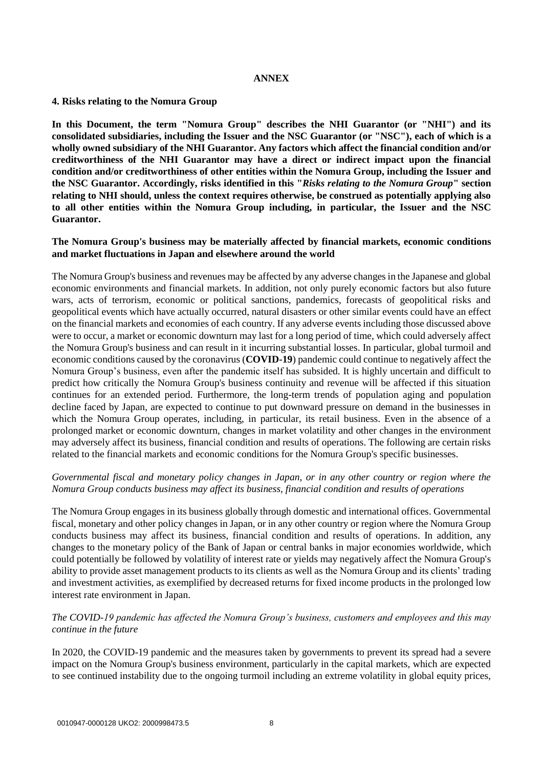#### **ANNEX**

#### **4. Risks relating to the Nomura Group**

**In this Document, the term "Nomura Group" describes the NHI Guarantor (or "NHI") and its consolidated subsidiaries, including the Issuer and the NSC Guarantor (or "NSC"), each of which is a wholly owned subsidiary of the NHI Guarantor. Any factors which affect the financial condition and/or creditworthiness of the NHI Guarantor may have a direct or indirect impact upon the financial condition and/or creditworthiness of other entities within the Nomura Group, including the Issuer and the NSC Guarantor. Accordingly, risks identified in this "***Risks relating to the Nomura Group***" section relating to NHI should, unless the context requires otherwise, be construed as potentially applying also to all other entities within the Nomura Group including, in particular, the Issuer and the NSC Guarantor.**

#### **The Nomura Group's business may be materially affected by financial markets, economic conditions and market fluctuations in Japan and elsewhere around the world**

The Nomura Group's business and revenues may be affected by any adverse changes in the Japanese and global economic environments and financial markets. In addition, not only purely economic factors but also future wars, acts of terrorism, economic or political sanctions, pandemics, forecasts of geopolitical risks and geopolitical events which have actually occurred, natural disasters or other similar events could have an effect on the financial markets and economies of each country. If any adverse events including those discussed above were to occur, a market or economic downturn may last for a long period of time, which could adversely affect the Nomura Group's business and can result in it incurring substantial losses. In particular, global turmoil and economic conditions caused by the coronavirus (**COVID-19**) pandemic could continue to negatively affect the Nomura Group's business, even after the pandemic itself has subsided. It is highly uncertain and difficult to predict how critically the Nomura Group's business continuity and revenue will be affected if this situation continues for an extended period. Furthermore, the long-term trends of population aging and population decline faced by Japan, are expected to continue to put downward pressure on demand in the businesses in which the Nomura Group operates, including, in particular, its retail business. Even in the absence of a prolonged market or economic downturn, changes in market volatility and other changes in the environment may adversely affect its business, financial condition and results of operations. The following are certain risks related to the financial markets and economic conditions for the Nomura Group's specific businesses.

# *Governmental fiscal and monetary policy changes in Japan, or in any other country or region where the Nomura Group conducts business may affect its business, financial condition and results of operations*

The Nomura Group engages in its business globally through domestic and international offices. Governmental fiscal, monetary and other policy changes in Japan, or in any other country or region where the Nomura Group conducts business may affect its business, financial condition and results of operations. In addition, any changes to the monetary policy of the Bank of Japan or central banks in major economies worldwide, which could potentially be followed by volatility of interest rate or yields may negatively affect the Nomura Group's ability to provide asset management products to its clients as well as the Nomura Group and its clients' trading and investment activities, as exemplified by decreased returns for fixed income products in the prolonged low interest rate environment in Japan.

# *The COVID-19 pandemic has affected the Nomura Group's business, customers and employees and this may continue in the future*

In 2020, the COVID-19 pandemic and the measures taken by governments to prevent its spread had a severe impact on the Nomura Group's business environment, particularly in the capital markets, which are expected to see continued instability due to the ongoing turmoil including an extreme volatility in global equity prices,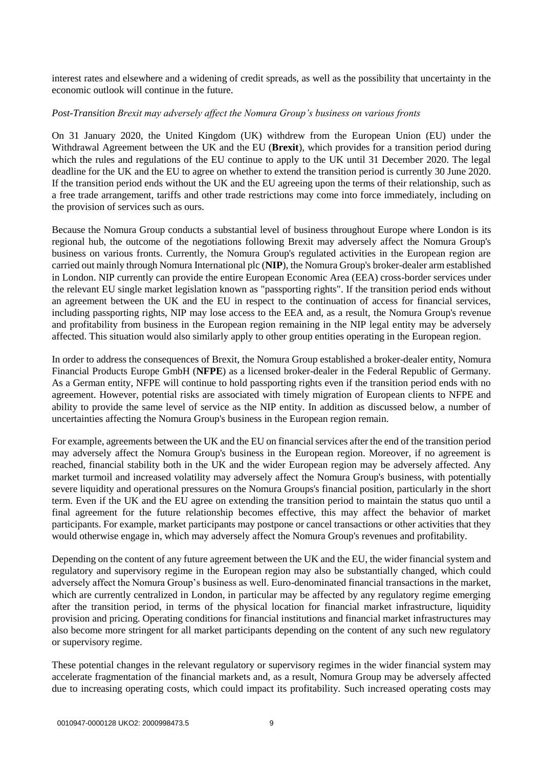interest rates and elsewhere and a widening of credit spreads, as well as the possibility that uncertainty in the economic outlook will continue in the future.

#### *Post-Transition Brexit may adversely affect the Nomura Group's business on various fronts*

On 31 January 2020, the United Kingdom (UK) withdrew from the European Union (EU) under the Withdrawal Agreement between the UK and the EU (**Brexit**), which provides for a transition period during which the rules and regulations of the EU continue to apply to the UK until 31 December 2020. The legal deadline for the UK and the EU to agree on whether to extend the transition period is currently 30 June 2020. If the transition period ends without the UK and the EU agreeing upon the terms of their relationship, such as a free trade arrangement, tariffs and other trade restrictions may come into force immediately, including on the provision of services such as ours.

Because the Nomura Group conducts a substantial level of business throughout Europe where London is its regional hub, the outcome of the negotiations following Brexit may adversely affect the Nomura Group's business on various fronts. Currently, the Nomura Group's regulated activities in the European region are carried out mainly through Nomura International plc (**NIP**), the Nomura Group's broker-dealer arm established in London. NIP currently can provide the entire European Economic Area (EEA) cross-border services under the relevant EU single market legislation known as "passporting rights". If the transition period ends without an agreement between the UK and the EU in respect to the continuation of access for financial services, including passporting rights, NIP may lose access to the EEA and, as a result, the Nomura Group's revenue and profitability from business in the European region remaining in the NIP legal entity may be adversely affected. This situation would also similarly apply to other group entities operating in the European region.

In order to address the consequences of Brexit, the Nomura Group established a broker-dealer entity, Nomura Financial Products Europe GmbH (**NFPE**) as a licensed broker-dealer in the Federal Republic of Germany. As a German entity, NFPE will continue to hold passporting rights even if the transition period ends with no agreement. However, potential risks are associated with timely migration of European clients to NFPE and ability to provide the same level of service as the NIP entity. In addition as discussed below, a number of uncertainties affecting the Nomura Group's business in the European region remain.

For example, agreements between the UK and the EU on financial services after the end of the transition period may adversely affect the Nomura Group's business in the European region. Moreover, if no agreement is reached, financial stability both in the UK and the wider European region may be adversely affected. Any market turmoil and increased volatility may adversely affect the Nomura Group's business, with potentially severe liquidity and operational pressures on the Nomura Groups's financial position, particularly in the short term. Even if the UK and the EU agree on extending the transition period to maintain the status quo until a final agreement for the future relationship becomes effective, this may affect the behavior of market participants. For example, market participants may postpone or cancel transactions or other activities that they would otherwise engage in, which may adversely affect the Nomura Group's revenues and profitability.

Depending on the content of any future agreement between the UK and the EU, the wider financial system and regulatory and supervisory regime in the European region may also be substantially changed, which could adversely affect the Nomura Group's business as well. Euro-denominated financial transactions in the market, which are currently centralized in London, in particular may be affected by any regulatory regime emerging after the transition period, in terms of the physical location for financial market infrastructure, liquidity provision and pricing. Operating conditions for financial institutions and financial market infrastructures may also become more stringent for all market participants depending on the content of any such new regulatory or supervisory regime.

These potential changes in the relevant regulatory or supervisory regimes in the wider financial system may accelerate fragmentation of the financial markets and, as a result, Nomura Group may be adversely affected due to increasing operating costs, which could impact its profitability. Such increased operating costs may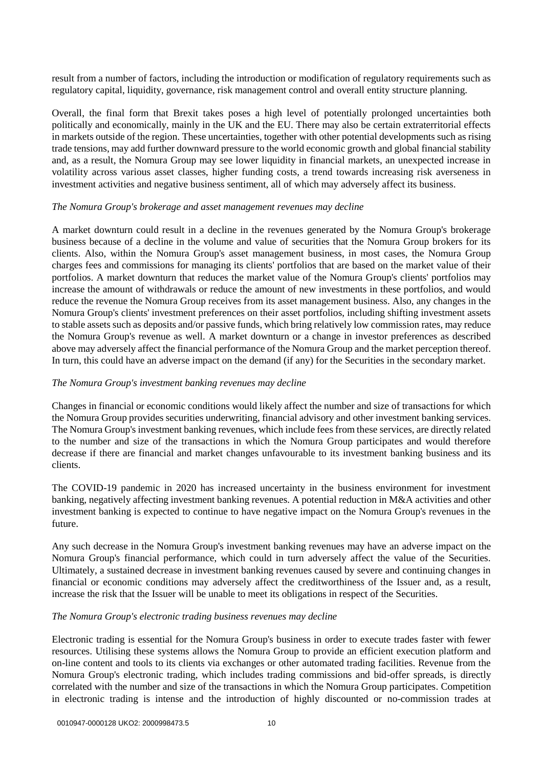result from a number of factors, including the introduction or modification of regulatory requirements such as regulatory capital, liquidity, governance, risk management control and overall entity structure planning.

Overall, the final form that Brexit takes poses a high level of potentially prolonged uncertainties both politically and economically, mainly in the UK and the EU. There may also be certain extraterritorial effects in markets outside of the region. These uncertainties, together with other potential developments such as rising trade tensions, may add further downward pressure to the world economic growth and global financial stability and, as a result, the Nomura Group may see lower liquidity in financial markets, an unexpected increase in volatility across various asset classes, higher funding costs, a trend towards increasing risk averseness in investment activities and negative business sentiment, all of which may adversely affect its business.

#### *The Nomura Group's brokerage and asset management revenues may decline*

A market downturn could result in a decline in the revenues generated by the Nomura Group's brokerage business because of a decline in the volume and value of securities that the Nomura Group brokers for its clients. Also, within the Nomura Group's asset management business, in most cases, the Nomura Group charges fees and commissions for managing its clients' portfolios that are based on the market value of their portfolios. A market downturn that reduces the market value of the Nomura Group's clients' portfolios may increase the amount of withdrawals or reduce the amount of new investments in these portfolios, and would reduce the revenue the Nomura Group receives from its asset management business. Also, any changes in the Nomura Group's clients' investment preferences on their asset portfolios, including shifting investment assets to stable assets such as deposits and/or passive funds, which bring relatively low commission rates, may reduce the Nomura Group's revenue as well. A market downturn or a change in investor preferences as described above may adversely affect the financial performance of the Nomura Group and the market perception thereof. In turn, this could have an adverse impact on the demand (if any) for the Securities in the secondary market.

#### *The Nomura Group's investment banking revenues may decline*

Changes in financial or economic conditions would likely affect the number and size of transactions for which the Nomura Group provides securities underwriting, financial advisory and other investment banking services. The Nomura Group's investment banking revenues, which include fees from these services, are directly related to the number and size of the transactions in which the Nomura Group participates and would therefore decrease if there are financial and market changes unfavourable to its investment banking business and its clients.

The COVID-19 pandemic in 2020 has increased uncertainty in the business environment for investment banking, negatively affecting investment banking revenues. A potential reduction in M&A activities and other investment banking is expected to continue to have negative impact on the Nomura Group's revenues in the future.

Any such decrease in the Nomura Group's investment banking revenues may have an adverse impact on the Nomura Group's financial performance, which could in turn adversely affect the value of the Securities. Ultimately, a sustained decrease in investment banking revenues caused by severe and continuing changes in financial or economic conditions may adversely affect the creditworthiness of the Issuer and, as a result, increase the risk that the Issuer will be unable to meet its obligations in respect of the Securities.

#### *The Nomura Group's electronic trading business revenues may decline*

Electronic trading is essential for the Nomura Group's business in order to execute trades faster with fewer resources. Utilising these systems allows the Nomura Group to provide an efficient execution platform and on-line content and tools to its clients via exchanges or other automated trading facilities. Revenue from the Nomura Group's electronic trading, which includes trading commissions and bid-offer spreads, is directly correlated with the number and size of the transactions in which the Nomura Group participates. Competition in electronic trading is intense and the introduction of highly discounted or no-commission trades at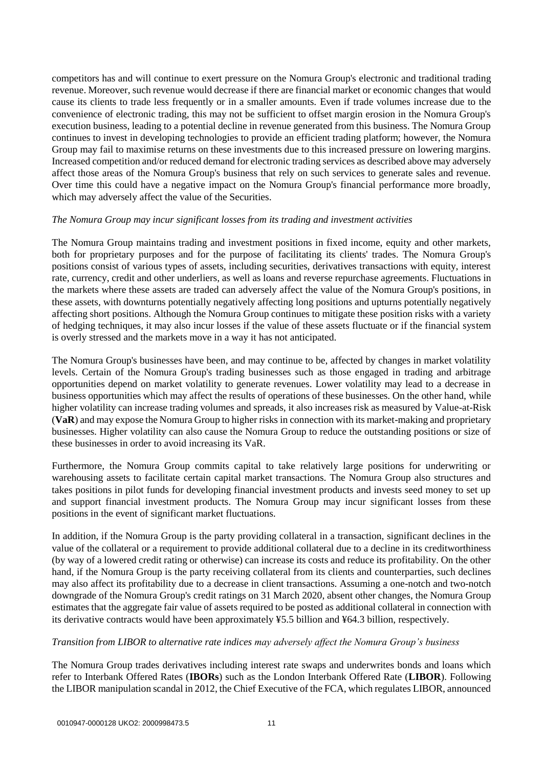competitors has and will continue to exert pressure on the Nomura Group's electronic and traditional trading revenue. Moreover, such revenue would decrease if there are financial market or economic changes that would cause its clients to trade less frequently or in a smaller amounts. Even if trade volumes increase due to the convenience of electronic trading, this may not be sufficient to offset margin erosion in the Nomura Group's execution business, leading to a potential decline in revenue generated from this business. The Nomura Group continues to invest in developing technologies to provide an efficient trading platform; however, the Nomura Group may fail to maximise returns on these investments due to this increased pressure on lowering margins. Increased competition and/or reduced demand for electronic trading services as described above may adversely affect those areas of the Nomura Group's business that rely on such services to generate sales and revenue. Over time this could have a negative impact on the Nomura Group's financial performance more broadly, which may adversely affect the value of the Securities.

#### *The Nomura Group may incur significant losses from its trading and investment activities*

The Nomura Group maintains trading and investment positions in fixed income, equity and other markets, both for proprietary purposes and for the purpose of facilitating its clients' trades. The Nomura Group's positions consist of various types of assets, including securities, derivatives transactions with equity, interest rate, currency, credit and other underliers, as well as loans and reverse repurchase agreements. Fluctuations in the markets where these assets are traded can adversely affect the value of the Nomura Group's positions, in these assets, with downturns potentially negatively affecting long positions and upturns potentially negatively affecting short positions. Although the Nomura Group continues to mitigate these position risks with a variety of hedging techniques, it may also incur losses if the value of these assets fluctuate or if the financial system is overly stressed and the markets move in a way it has not anticipated.

The Nomura Group's businesses have been, and may continue to be, affected by changes in market volatility levels. Certain of the Nomura Group's trading businesses such as those engaged in trading and arbitrage opportunities depend on market volatility to generate revenues. Lower volatility may lead to a decrease in business opportunities which may affect the results of operations of these businesses. On the other hand, while higher volatility can increase trading volumes and spreads, it also increases risk as measured by Value-at-Risk (**VaR**) and may expose the Nomura Group to higher risks in connection with its market-making and proprietary businesses. Higher volatility can also cause the Nomura Group to reduce the outstanding positions or size of these businesses in order to avoid increasing its VaR.

Furthermore, the Nomura Group commits capital to take relatively large positions for underwriting or warehousing assets to facilitate certain capital market transactions. The Nomura Group also structures and takes positions in pilot funds for developing financial investment products and invests seed money to set up and support financial investment products. The Nomura Group may incur significant losses from these positions in the event of significant market fluctuations.

In addition, if the Nomura Group is the party providing collateral in a transaction, significant declines in the value of the collateral or a requirement to provide additional collateral due to a decline in its creditworthiness (by way of a lowered credit rating or otherwise) can increase its costs and reduce its profitability. On the other hand, if the Nomura Group is the party receiving collateral from its clients and counterparties, such declines may also affect its profitability due to a decrease in client transactions. Assuming a one-notch and two-notch downgrade of the Nomura Group's credit ratings on 31 March 2020, absent other changes, the Nomura Group estimates that the aggregate fair value of assets required to be posted as additional collateral in connection with its derivative contracts would have been approximately ¥5.5 billion and ¥64.3 billion, respectively.

#### *Transition from LIBOR to alternative rate indices may adversely affect the Nomura Group's business*

The Nomura Group trades derivatives including interest rate swaps and underwrites bonds and loans which refer to Interbank Offered Rates (**IBORs**) such as the London Interbank Offered Rate (**LIBOR**). Following the LIBOR manipulation scandal in 2012, the Chief Executive of the FCA, which regulates LIBOR, announced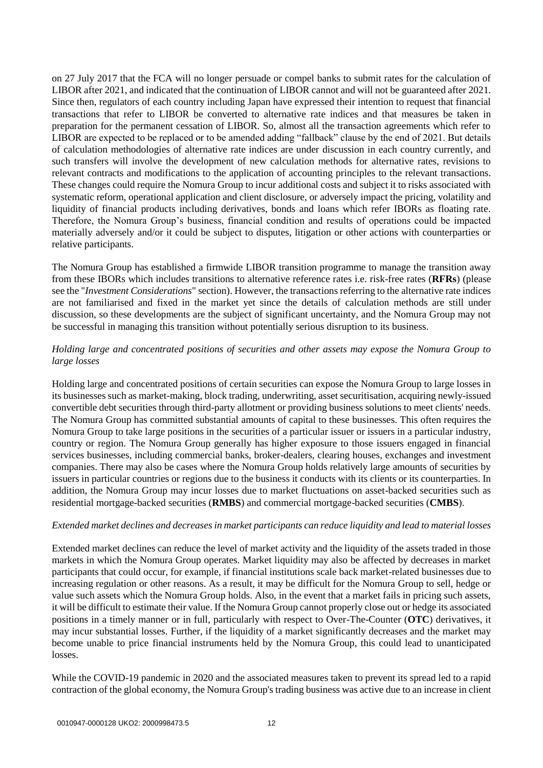on 27 July 2017 that the FCA will no longer persuade or compel banks to submit rates for the calculation of LIBOR after 2021, and indicated that the continuation of LIBOR cannot and will not be guaranteed after 2021. Since then, regulators of each country including Japan have expressed their intention to request that financial transactions that refer to LIBOR be converted to alternative rate indices and that measures be taken in preparation for the permanent cessation of LIBOR. So, almost all the transaction agreements which refer to LIBOR are expected to be replaced or to be amended adding "fallback" clause by the end of 2021. But details of calculation methodologies of alternative rate indices are under discussion in each country currently, and such transfers will involve the development of new calculation methods for alternative rates, revisions to relevant contracts and modifications to the application of accounting principles to the relevant transactions. These changes could require the Nomura Group to incur additional costs and subject it to risks associated with systematic reform, operational application and client disclosure, or adversely impact the pricing, volatility and liquidity of financial products including derivatives, bonds and loans which refer IBORs as floating rate. Therefore, the Nomura Group's business, financial condition and results of operations could be impacted materially adversely and/or it could be subject to disputes, litigation or other actions with counterparties or relative participants.

The Nomura Group has established a firmwide LIBOR transition programme to manage the transition away from these IBORs which includes transitions to alternative reference rates i.e. risk-free rates (**RFRs**) (please see the "*Investment Considerations*" section). However, the transactions referring to the alternative rate indices are not familiarised and fixed in the market yet since the details of calculation methods are still under discussion, so these developments are the subject of significant uncertainty, and the Nomura Group may not be successful in managing this transition without potentially serious disruption to its business.

# *Holding large and concentrated positions of securities and other assets may expose the Nomura Group to large losses*

Holding large and concentrated positions of certain securities can expose the Nomura Group to large losses in its businesses such as market-making, block trading, underwriting, asset securitisation, acquiring newly-issued convertible debt securities through third-party allotment or providing business solutions to meet clients' needs. The Nomura Group has committed substantial amounts of capital to these businesses. This often requires the Nomura Group to take large positions in the securities of a particular issuer or issuers in a particular industry, country or region. The Nomura Group generally has higher exposure to those issuers engaged in financial services businesses, including commercial banks, broker-dealers, clearing houses, exchanges and investment companies. There may also be cases where the Nomura Group holds relatively large amounts of securities by issuers in particular countries or regions due to the business it conducts with its clients or its counterparties. In addition, the Nomura Group may incur losses due to market fluctuations on asset-backed securities such as residential mortgage-backed securities (**RMBS**) and commercial mortgage-backed securities (**CMBS**).

#### *Extended market declines and decreases in market participants can reduce liquidity and lead to material losses*

Extended market declines can reduce the level of market activity and the liquidity of the assets traded in those markets in which the Nomura Group operates. Market liquidity may also be affected by decreases in market participants that could occur, for example, if financial institutions scale back market-related businesses due to increasing regulation or other reasons. As a result, it may be difficult for the Nomura Group to sell, hedge or value such assets which the Nomura Group holds. Also, in the event that a market fails in pricing such assets, it will be difficult to estimate their value. If the Nomura Group cannot properly close out or hedge its associated positions in a timely manner or in full, particularly with respect to Over-The-Counter (**OTC**) derivatives, it may incur substantial losses. Further, if the liquidity of a market significantly decreases and the market may become unable to price financial instruments held by the Nomura Group, this could lead to unanticipated losses.

While the COVID-19 pandemic in 2020 and the associated measures taken to prevent its spread led to a rapid contraction of the global economy, the Nomura Group's trading business was active due to an increase in client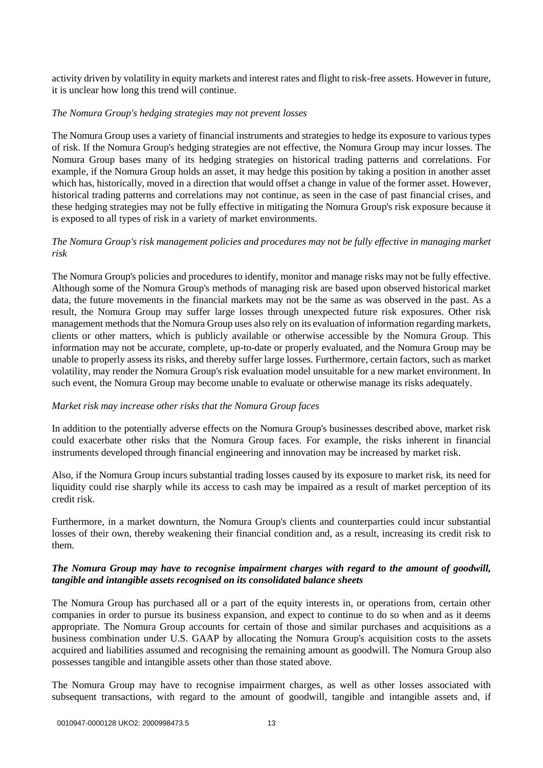activity driven by volatility in equity markets and interest rates and flight to risk-free assets. However in future, it is unclear how long this trend will continue.

#### *The Nomura Group's hedging strategies may not prevent losses*

The Nomura Group uses a variety of financial instruments and strategies to hedge its exposure to various types of risk. If the Nomura Group's hedging strategies are not effective, the Nomura Group may incur losses. The Nomura Group bases many of its hedging strategies on historical trading patterns and correlations. For example, if the Nomura Group holds an asset, it may hedge this position by taking a position in another asset which has, historically, moved in a direction that would offset a change in value of the former asset. However, historical trading patterns and correlations may not continue, as seen in the case of past financial crises, and these hedging strategies may not be fully effective in mitigating the Nomura Group's risk exposure because it is exposed to all types of risk in a variety of market environments.

# *The Nomura Group's risk management policies and procedures may not be fully effective in managing market risk*

The Nomura Group's policies and procedures to identify, monitor and manage risks may not be fully effective. Although some of the Nomura Group's methods of managing risk are based upon observed historical market data, the future movements in the financial markets may not be the same as was observed in the past. As a result, the Nomura Group may suffer large losses through unexpected future risk exposures. Other risk management methods that the Nomura Group uses also rely on its evaluation of information regarding markets, clients or other matters, which is publicly available or otherwise accessible by the Nomura Group. This information may not be accurate, complete, up-to-date or properly evaluated, and the Nomura Group may be unable to properly assess its risks, and thereby suffer large losses. Furthermore, certain factors, such as market volatility, may render the Nomura Group's risk evaluation model unsuitable for a new market environment. In such event, the Nomura Group may become unable to evaluate or otherwise manage its risks adequately.

# *Market risk may increase other risks that the Nomura Group faces*

In addition to the potentially adverse effects on the Nomura Group's businesses described above, market risk could exacerbate other risks that the Nomura Group faces. For example, the risks inherent in financial instruments developed through financial engineering and innovation may be increased by market risk.

Also, if the Nomura Group incurs substantial trading losses caused by its exposure to market risk, its need for liquidity could rise sharply while its access to cash may be impaired as a result of market perception of its credit risk.

Furthermore, in a market downturn, the Nomura Group's clients and counterparties could incur substantial losses of their own, thereby weakening their financial condition and, as a result, increasing its credit risk to them.

#### *The Nomura Group may have to recognise impairment charges with regard to the amount of goodwill, tangible and intangible assets recognised on its consolidated balance sheets*

The Nomura Group has purchased all or a part of the equity interests in, or operations from, certain other companies in order to pursue its business expansion, and expect to continue to do so when and as it deems appropriate. The Nomura Group accounts for certain of those and similar purchases and acquisitions as a business combination under U.S. GAAP by allocating the Nomura Group's acquisition costs to the assets acquired and liabilities assumed and recognising the remaining amount as goodwill. The Nomura Group also possesses tangible and intangible assets other than those stated above.

The Nomura Group may have to recognise impairment charges, as well as other losses associated with subsequent transactions, with regard to the amount of goodwill, tangible and intangible assets and, if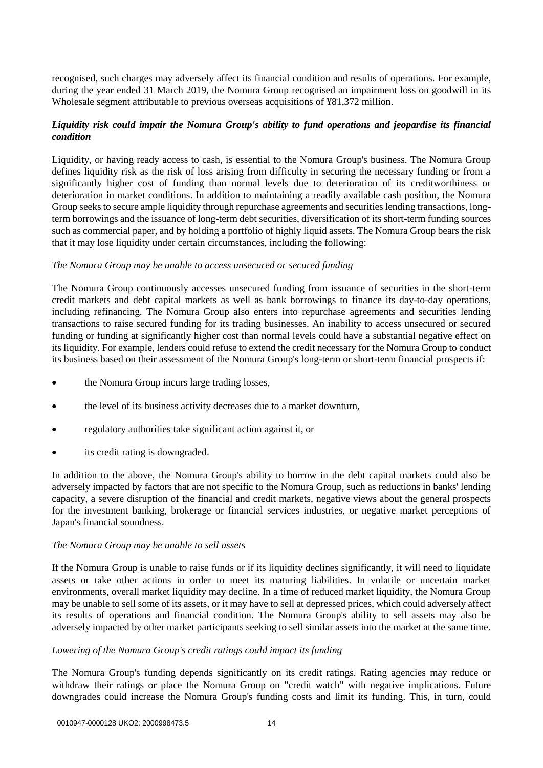recognised, such charges may adversely affect its financial condition and results of operations. For example, during the year ended 31 March 2019, the Nomura Group recognised an impairment loss on goodwill in its Wholesale segment attributable to previous overseas acquisitions of ¥81,372 million.

# *Liquidity risk could impair the Nomura Group's ability to fund operations and jeopardise its financial condition*

Liquidity, or having ready access to cash, is essential to the Nomura Group's business. The Nomura Group defines liquidity risk as the risk of loss arising from difficulty in securing the necessary funding or from a significantly higher cost of funding than normal levels due to deterioration of its creditworthiness or deterioration in market conditions. In addition to maintaining a readily available cash position, the Nomura Group seeks to secure ample liquidity through repurchase agreements and securities lending transactions, longterm borrowings and the issuance of long-term debt securities, diversification of its short-term funding sources such as commercial paper, and by holding a portfolio of highly liquid assets. The Nomura Group bears the risk that it may lose liquidity under certain circumstances, including the following:

#### *The Nomura Group may be unable to access unsecured or secured funding*

The Nomura Group continuously accesses unsecured funding from issuance of securities in the short-term credit markets and debt capital markets as well as bank borrowings to finance its day-to-day operations, including refinancing. The Nomura Group also enters into repurchase agreements and securities lending transactions to raise secured funding for its trading businesses. An inability to access unsecured or secured funding or funding at significantly higher cost than normal levels could have a substantial negative effect on its liquidity. For example, lenders could refuse to extend the credit necessary for the Nomura Group to conduct its business based on their assessment of the Nomura Group's long-term or short-term financial prospects if:

- the Nomura Group incurs large trading losses,
- the level of its business activity decreases due to a market downturn,
- regulatory authorities take significant action against it, or
- its credit rating is downgraded.

In addition to the above, the Nomura Group's ability to borrow in the debt capital markets could also be adversely impacted by factors that are not specific to the Nomura Group, such as reductions in banks' lending capacity, a severe disruption of the financial and credit markets, negative views about the general prospects for the investment banking, brokerage or financial services industries, or negative market perceptions of Japan's financial soundness.

#### *The Nomura Group may be unable to sell assets*

If the Nomura Group is unable to raise funds or if its liquidity declines significantly, it will need to liquidate assets or take other actions in order to meet its maturing liabilities. In volatile or uncertain market environments, overall market liquidity may decline. In a time of reduced market liquidity, the Nomura Group may be unable to sell some of its assets, or it may have to sell at depressed prices, which could adversely affect its results of operations and financial condition. The Nomura Group's ability to sell assets may also be adversely impacted by other market participants seeking to sell similar assets into the market at the same time.

#### *Lowering of the Nomura Group's credit ratings could impact its funding*

The Nomura Group's funding depends significantly on its credit ratings. Rating agencies may reduce or withdraw their ratings or place the Nomura Group on "credit watch" with negative implications. Future downgrades could increase the Nomura Group's funding costs and limit its funding. This, in turn, could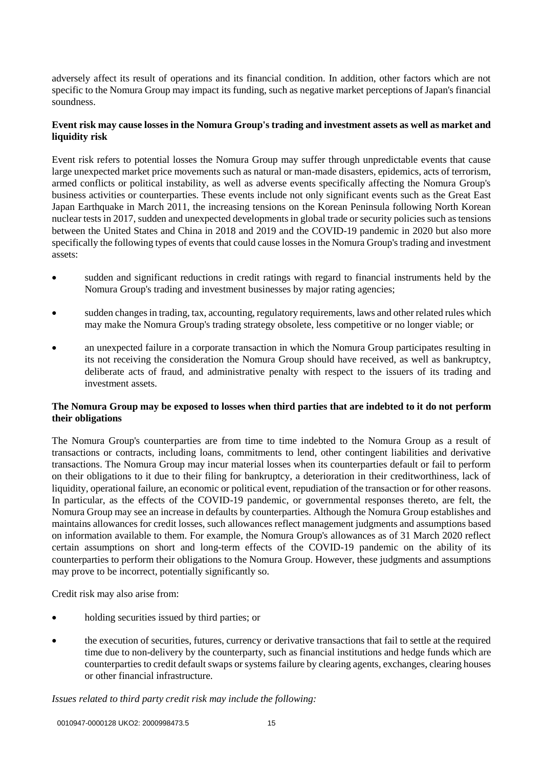adversely affect its result of operations and its financial condition. In addition, other factors which are not specific to the Nomura Group may impact its funding, such as negative market perceptions of Japan's financial soundness.

# **Event risk may cause losses in the Nomura Group's trading and investment assets as well as market and liquidity risk**

Event risk refers to potential losses the Nomura Group may suffer through unpredictable events that cause large unexpected market price movements such as natural or man-made disasters, epidemics, acts of terrorism, armed conflicts or political instability, as well as adverse events specifically affecting the Nomura Group's business activities or counterparties. These events include not only significant events such as the Great East Japan Earthquake in March 2011, the increasing tensions on the Korean Peninsula following North Korean nuclear tests in 2017, sudden and unexpected developments in global trade or security policies such as tensions between the United States and China in 2018 and 2019 and the COVID-19 pandemic in 2020 but also more specifically the following types of events that could cause losses in the Nomura Group's trading and investment assets:

- sudden and significant reductions in credit ratings with regard to financial instruments held by the Nomura Group's trading and investment businesses by major rating agencies;
- sudden changes in trading, tax, accounting, regulatory requirements, laws and other related rules which may make the Nomura Group's trading strategy obsolete, less competitive or no longer viable; or
- an unexpected failure in a corporate transaction in which the Nomura Group participates resulting in its not receiving the consideration the Nomura Group should have received, as well as bankruptcy, deliberate acts of fraud, and administrative penalty with respect to the issuers of its trading and investment assets.

#### **The Nomura Group may be exposed to losses when third parties that are indebted to it do not perform their obligations**

The Nomura Group's counterparties are from time to time indebted to the Nomura Group as a result of transactions or contracts, including loans, commitments to lend, other contingent liabilities and derivative transactions. The Nomura Group may incur material losses when its counterparties default or fail to perform on their obligations to it due to their filing for bankruptcy, a deterioration in their creditworthiness, lack of liquidity, operational failure, an economic or political event, repudiation of the transaction or for other reasons. In particular, as the effects of the COVID-19 pandemic, or governmental responses thereto, are felt, the Nomura Group may see an increase in defaults by counterparties. Although the Nomura Group establishes and maintains allowances for credit losses, such allowances reflect management judgments and assumptions based on information available to them. For example, the Nomura Group's allowances as of 31 March 2020 reflect certain assumptions on short and long-term effects of the COVID-19 pandemic on the ability of its counterparties to perform their obligations to the Nomura Group. However, these judgments and assumptions may prove to be incorrect, potentially significantly so.

Credit risk may also arise from:

- holding securities issued by third parties; or
- the execution of securities, futures, currency or derivative transactions that fail to settle at the required time due to non-delivery by the counterparty, such as financial institutions and hedge funds which are counterparties to credit default swaps or systems failure by clearing agents, exchanges, clearing houses or other financial infrastructure.

#### *Issues related to third party credit risk may include the following:*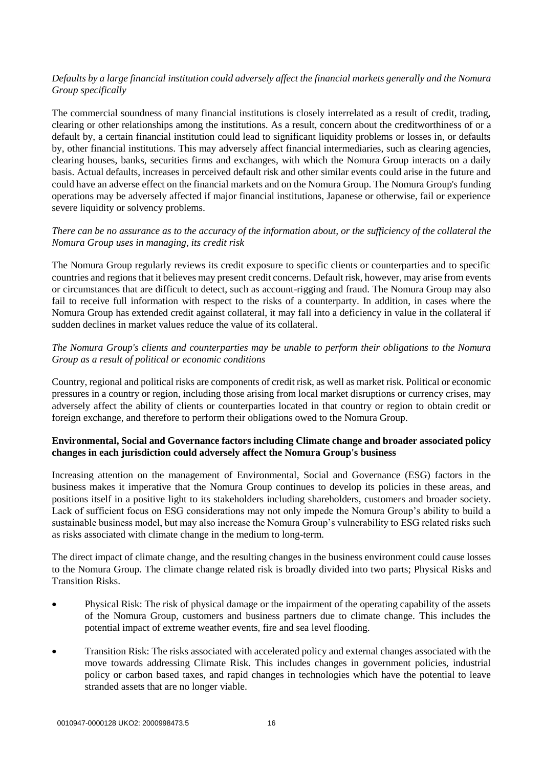# *Defaults by a large financial institution could adversely affect the financial markets generally and the Nomura Group specifically*

The commercial soundness of many financial institutions is closely interrelated as a result of credit, trading, clearing or other relationships among the institutions. As a result, concern about the creditworthiness of or a default by, a certain financial institution could lead to significant liquidity problems or losses in, or defaults by, other financial institutions. This may adversely affect financial intermediaries, such as clearing agencies, clearing houses, banks, securities firms and exchanges, with which the Nomura Group interacts on a daily basis. Actual defaults, increases in perceived default risk and other similar events could arise in the future and could have an adverse effect on the financial markets and on the Nomura Group. The Nomura Group's funding operations may be adversely affected if major financial institutions, Japanese or otherwise, fail or experience severe liquidity or solvency problems.

# *There can be no assurance as to the accuracy of the information about, or the sufficiency of the collateral the Nomura Group uses in managing, its credit risk*

The Nomura Group regularly reviews its credit exposure to specific clients or counterparties and to specific countries and regions that it believes may present credit concerns. Default risk, however, may arise from events or circumstances that are difficult to detect, such as account-rigging and fraud. The Nomura Group may also fail to receive full information with respect to the risks of a counterparty. In addition, in cases where the Nomura Group has extended credit against collateral, it may fall into a deficiency in value in the collateral if sudden declines in market values reduce the value of its collateral.

# *The Nomura Group's clients and counterparties may be unable to perform their obligations to the Nomura Group as a result of political or economic conditions*

Country, regional and political risks are components of credit risk, as well as market risk. Political or economic pressures in a country or region, including those arising from local market disruptions or currency crises, may adversely affect the ability of clients or counterparties located in that country or region to obtain credit or foreign exchange, and therefore to perform their obligations owed to the Nomura Group.

# **Environmental, Social and Governance factors including Climate change and broader associated policy changes in each jurisdiction could adversely affect the Nomura Group's business**

Increasing attention on the management of Environmental, Social and Governance (ESG) factors in the business makes it imperative that the Nomura Group continues to develop its policies in these areas, and positions itself in a positive light to its stakeholders including shareholders, customers and broader society. Lack of sufficient focus on ESG considerations may not only impede the Nomura Group's ability to build a sustainable business model, but may also increase the Nomura Group's vulnerability to ESG related risks such as risks associated with climate change in the medium to long-term.

The direct impact of climate change, and the resulting changes in the business environment could cause losses to the Nomura Group. The climate change related risk is broadly divided into two parts; Physical Risks and Transition Risks.

- Physical Risk: The risk of physical damage or the impairment of the operating capability of the assets of the Nomura Group, customers and business partners due to climate change. This includes the potential impact of extreme weather events, fire and sea level flooding.
- Transition Risk: The risks associated with accelerated policy and external changes associated with the move towards addressing Climate Risk. This includes changes in government policies, industrial policy or carbon based taxes, and rapid changes in technologies which have the potential to leave stranded assets that are no longer viable.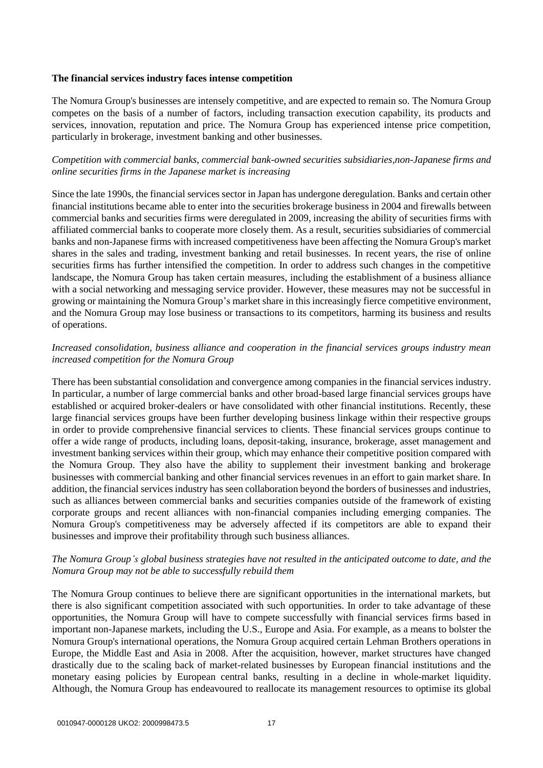#### **The financial services industry faces intense competition**

The Nomura Group's businesses are intensely competitive, and are expected to remain so. The Nomura Group competes on the basis of a number of factors, including transaction execution capability, its products and services, innovation, reputation and price. The Nomura Group has experienced intense price competition, particularly in brokerage, investment banking and other businesses.

# *Competition with commercial banks, commercial bank-owned securities subsidiaries,non-Japanese firms and online securities firms in the Japanese market is increasing*

Since the late 1990s, the financial services sector in Japan has undergone deregulation. Banks and certain other financial institutions became able to enter into the securities brokerage business in 2004 and firewalls between commercial banks and securities firms were deregulated in 2009, increasing the ability of securities firms with affiliated commercial banks to cooperate more closely them. As a result, securities subsidiaries of commercial banks and non-Japanese firms with increased competitiveness have been affecting the Nomura Group's market shares in the sales and trading, investment banking and retail businesses. In recent years, the rise of online securities firms has further intensified the competition. In order to address such changes in the competitive landscape, the Nomura Group has taken certain measures, including the establishment of a business alliance with a social networking and messaging service provider. However, these measures may not be successful in growing or maintaining the Nomura Group's market share in this increasingly fierce competitive environment, and the Nomura Group may lose business or transactions to its competitors, harming its business and results of operations.

# *Increased consolidation, business alliance and cooperation in the financial services groups industry mean increased competition for the Nomura Group*

There has been substantial consolidation and convergence among companies in the financial services industry. In particular, a number of large commercial banks and other broad-based large financial services groups have established or acquired broker-dealers or have consolidated with other financial institutions. Recently, these large financial services groups have been further developing business linkage within their respective groups in order to provide comprehensive financial services to clients. These financial services groups continue to offer a wide range of products, including loans, deposit-taking, insurance, brokerage, asset management and investment banking services within their group, which may enhance their competitive position compared with the Nomura Group. They also have the ability to supplement their investment banking and brokerage businesses with commercial banking and other financial services revenues in an effort to gain market share. In addition, the financial services industry has seen collaboration beyond the borders of businesses and industries, such as alliances between commercial banks and securities companies outside of the framework of existing corporate groups and recent alliances with non-financial companies including emerging companies. The Nomura Group's competitiveness may be adversely affected if its competitors are able to expand their businesses and improve their profitability through such business alliances.

# *The Nomura Group's global business strategies have not resulted in the anticipated outcome to date, and the Nomura Group may not be able to successfully rebuild them*

The Nomura Group continues to believe there are significant opportunities in the international markets, but there is also significant competition associated with such opportunities. In order to take advantage of these opportunities, the Nomura Group will have to compete successfully with financial services firms based in important non-Japanese markets, including the U.S., Europe and Asia. For example, as a means to bolster the Nomura Group's international operations, the Nomura Group acquired certain Lehman Brothers operations in Europe, the Middle East and Asia in 2008. After the acquisition, however, market structures have changed drastically due to the scaling back of market-related businesses by European financial institutions and the monetary easing policies by European central banks, resulting in a decline in whole-market liquidity. Although, the Nomura Group has endeavoured to reallocate its management resources to optimise its global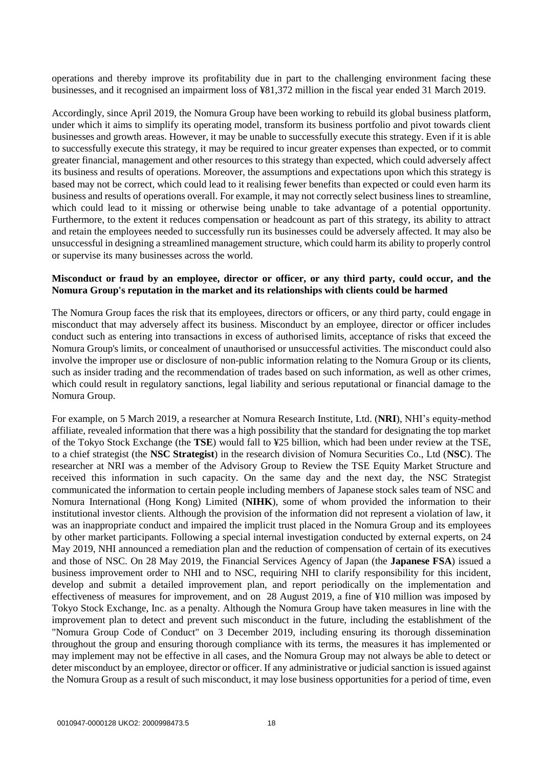operations and thereby improve its profitability due in part to the challenging environment facing these businesses, and it recognised an impairment loss of ¥81,372 million in the fiscal year ended 31 March 2019.

Accordingly, since April 2019, the Nomura Group have been working to rebuild its global business platform, under which it aims to simplify its operating model, transform its business portfolio and pivot towards client businesses and growth areas. However, it may be unable to successfully execute this strategy. Even if it is able to successfully execute this strategy, it may be required to incur greater expenses than expected, or to commit greater financial, management and other resources to this strategy than expected, which could adversely affect its business and results of operations. Moreover, the assumptions and expectations upon which this strategy is based may not be correct, which could lead to it realising fewer benefits than expected or could even harm its business and results of operations overall. For example, it may not correctly select business lines to streamline, which could lead to it missing or otherwise being unable to take advantage of a potential opportunity. Furthermore, to the extent it reduces compensation or headcount as part of this strategy, its ability to attract and retain the employees needed to successfully run its businesses could be adversely affected. It may also be unsuccessful in designing a streamlined management structure, which could harm its ability to properly control or supervise its many businesses across the world.

#### **Misconduct or fraud by an employee, director or officer, or any third party, could occur, and the Nomura Group's reputation in the market and its relationships with clients could be harmed**

The Nomura Group faces the risk that its employees, directors or officers, or any third party, could engage in misconduct that may adversely affect its business. Misconduct by an employee, director or officer includes conduct such as entering into transactions in excess of authorised limits, acceptance of risks that exceed the Nomura Group's limits, or concealment of unauthorised or unsuccessful activities. The misconduct could also involve the improper use or disclosure of non-public information relating to the Nomura Group or its clients, such as insider trading and the recommendation of trades based on such information, as well as other crimes, which could result in regulatory sanctions, legal liability and serious reputational or financial damage to the Nomura Group.

For example, on 5 March 2019, a researcher at Nomura Research Institute, Ltd. (**NRI**), NHI's equity-method affiliate, revealed information that there was a high possibility that the standard for designating the top market of the Tokyo Stock Exchange (the **TSE**) would fall to ¥25 billion, which had been under review at the TSE, to a chief strategist (the **NSC Strategist**) in the research division of Nomura Securities Co., Ltd (**NSC**). The researcher at NRI was a member of the Advisory Group to Review the TSE Equity Market Structure and received this information in such capacity. On the same day and the next day, the NSC Strategist communicated the information to certain people including members of Japanese stock sales team of NSC and Nomura International (Hong Kong) Limited (**NIHK**), some of whom provided the information to their institutional investor clients. Although the provision of the information did not represent a violation of law, it was an inappropriate conduct and impaired the implicit trust placed in the Nomura Group and its employees by other market participants. Following a special internal investigation conducted by external experts, on 24 May 2019, NHI announced a remediation plan and the reduction of compensation of certain of its executives and those of NSC. On 28 May 2019, the Financial Services Agency of Japan (the **Japanese FSA**) issued a business improvement order to NHI and to NSC, requiring NHI to clarify responsibility for this incident, develop and submit a detailed improvement plan, and report periodically on the implementation and effectiveness of measures for improvement, and on 28 August 2019, a fine of ¥10 million was imposed by Tokyo Stock Exchange, Inc. as a penalty. Although the Nomura Group have taken measures in line with the improvement plan to detect and prevent such misconduct in the future, including the establishment of the "Nomura Group Code of Conduct" on 3 December 2019, including ensuring its thorough dissemination throughout the group and ensuring thorough compliance with its terms, the measures it has implemented or may implement may not be effective in all cases, and the Nomura Group may not always be able to detect or deter misconduct by an employee, director or officer. If any administrative or judicial sanction is issued against the Nomura Group as a result of such misconduct, it may lose business opportunities for a period of time, even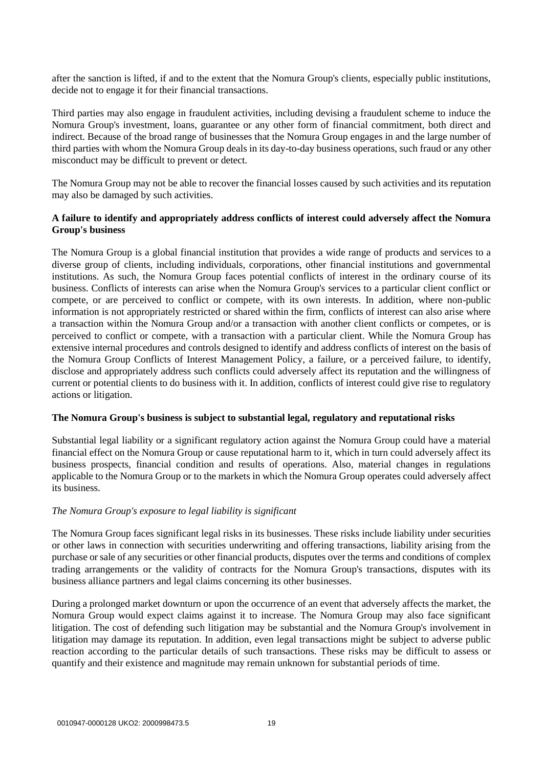after the sanction is lifted, if and to the extent that the Nomura Group's clients, especially public institutions, decide not to engage it for their financial transactions.

Third parties may also engage in fraudulent activities, including devising a fraudulent scheme to induce the Nomura Group's investment, loans, guarantee or any other form of financial commitment, both direct and indirect. Because of the broad range of businesses that the Nomura Group engages in and the large number of third parties with whom the Nomura Group deals in its day-to-day business operations, such fraud or any other misconduct may be difficult to prevent or detect.

The Nomura Group may not be able to recover the financial losses caused by such activities and its reputation may also be damaged by such activities.

#### **A failure to identify and appropriately address conflicts of interest could adversely affect the Nomura Group's business**

The Nomura Group is a global financial institution that provides a wide range of products and services to a diverse group of clients, including individuals, corporations, other financial institutions and governmental institutions. As such, the Nomura Group faces potential conflicts of interest in the ordinary course of its business. Conflicts of interests can arise when the Nomura Group's services to a particular client conflict or compete, or are perceived to conflict or compete, with its own interests. In addition, where non-public information is not appropriately restricted or shared within the firm, conflicts of interest can also arise where a transaction within the Nomura Group and/or a transaction with another client conflicts or competes, or is perceived to conflict or compete, with a transaction with a particular client. While the Nomura Group has extensive internal procedures and controls designed to identify and address conflicts of interest on the basis of the Nomura Group Conflicts of Interest Management Policy, a failure, or a perceived failure, to identify, disclose and appropriately address such conflicts could adversely affect its reputation and the willingness of current or potential clients to do business with it. In addition, conflicts of interest could give rise to regulatory actions or litigation.

#### **The Nomura Group's business is subject to substantial legal, regulatory and reputational risks**

Substantial legal liability or a significant regulatory action against the Nomura Group could have a material financial effect on the Nomura Group or cause reputational harm to it, which in turn could adversely affect its business prospects, financial condition and results of operations. Also, material changes in regulations applicable to the Nomura Group or to the markets in which the Nomura Group operates could adversely affect its business.

#### *The Nomura Group's exposure to legal liability is significant*

The Nomura Group faces significant legal risks in its businesses. These risks include liability under securities or other laws in connection with securities underwriting and offering transactions, liability arising from the purchase or sale of any securities or other financial products, disputes over the terms and conditions of complex trading arrangements or the validity of contracts for the Nomura Group's transactions, disputes with its business alliance partners and legal claims concerning its other businesses.

During a prolonged market downturn or upon the occurrence of an event that adversely affects the market, the Nomura Group would expect claims against it to increase. The Nomura Group may also face significant litigation. The cost of defending such litigation may be substantial and the Nomura Group's involvement in litigation may damage its reputation. In addition, even legal transactions might be subject to adverse public reaction according to the particular details of such transactions. These risks may be difficult to assess or quantify and their existence and magnitude may remain unknown for substantial periods of time.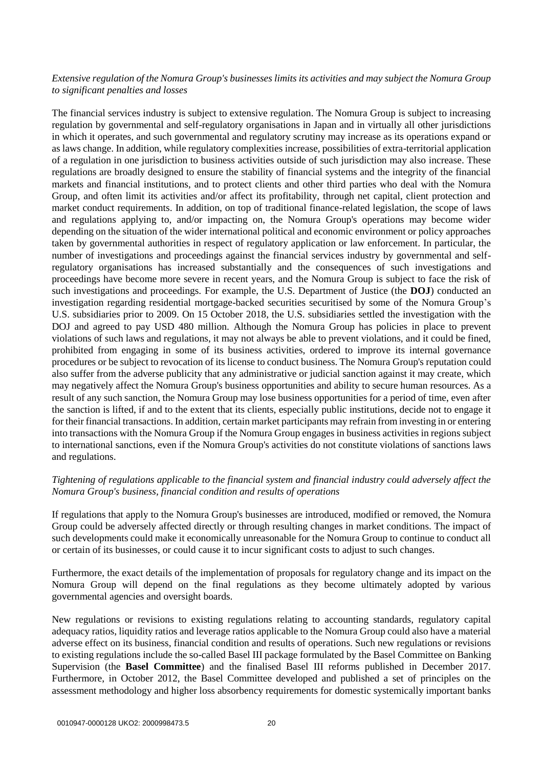# *Extensive regulation of the Nomura Group's businesses limits its activities and may subject the Nomura Group to significant penalties and losses*

The financial services industry is subject to extensive regulation. The Nomura Group is subject to increasing regulation by governmental and self-regulatory organisations in Japan and in virtually all other jurisdictions in which it operates, and such governmental and regulatory scrutiny may increase as its operations expand or as laws change. In addition, while regulatory complexities increase, possibilities of extra-territorial application of a regulation in one jurisdiction to business activities outside of such jurisdiction may also increase. These regulations are broadly designed to ensure the stability of financial systems and the integrity of the financial markets and financial institutions, and to protect clients and other third parties who deal with the Nomura Group, and often limit its activities and/or affect its profitability, through net capital, client protection and market conduct requirements. In addition, on top of traditional finance-related legislation, the scope of laws and regulations applying to, and/or impacting on, the Nomura Group's operations may become wider depending on the situation of the wider international political and economic environment or policy approaches taken by governmental authorities in respect of regulatory application or law enforcement. In particular, the number of investigations and proceedings against the financial services industry by governmental and selfregulatory organisations has increased substantially and the consequences of such investigations and proceedings have become more severe in recent years, and the Nomura Group is subject to face the risk of such investigations and proceedings. For example, the U.S. Department of Justice (the **DOJ**) conducted an investigation regarding residential mortgage-backed securities securitised by some of the Nomura Group's U.S. subsidiaries prior to 2009. On 15 October 2018, the U.S. subsidiaries settled the investigation with the DOJ and agreed to pay USD 480 million. Although the Nomura Group has policies in place to prevent violations of such laws and regulations, it may not always be able to prevent violations, and it could be fined, prohibited from engaging in some of its business activities, ordered to improve its internal governance procedures or be subject to revocation of its license to conduct business. The Nomura Group's reputation could also suffer from the adverse publicity that any administrative or judicial sanction against it may create, which may negatively affect the Nomura Group's business opportunities and ability to secure human resources. As a result of any such sanction, the Nomura Group may lose business opportunities for a period of time, even after the sanction is lifted, if and to the extent that its clients, especially public institutions, decide not to engage it for their financial transactions. In addition, certain market participants may refrain from investing in or entering into transactions with the Nomura Group if the Nomura Group engages in business activities in regions subject to international sanctions, even if the Nomura Group's activities do not constitute violations of sanctions laws and regulations.

#### *Tightening of regulations applicable to the financial system and financial industry could adversely affect the Nomura Group's business, financial condition and results of operations*

If regulations that apply to the Nomura Group's businesses are introduced, modified or removed, the Nomura Group could be adversely affected directly or through resulting changes in market conditions. The impact of such developments could make it economically unreasonable for the Nomura Group to continue to conduct all or certain of its businesses, or could cause it to incur significant costs to adjust to such changes.

Furthermore, the exact details of the implementation of proposals for regulatory change and its impact on the Nomura Group will depend on the final regulations as they become ultimately adopted by various governmental agencies and oversight boards.

New regulations or revisions to existing regulations relating to accounting standards, regulatory capital adequacy ratios, liquidity ratios and leverage ratios applicable to the Nomura Group could also have a material adverse effect on its business, financial condition and results of operations. Such new regulations or revisions to existing regulations include the so-called Basel III package formulated by the Basel Committee on Banking Supervision (the **Basel Committee**) and the finalised Basel III reforms published in December 2017. Furthermore, in October 2012, the Basel Committee developed and published a set of principles on the assessment methodology and higher loss absorbency requirements for domestic systemically important banks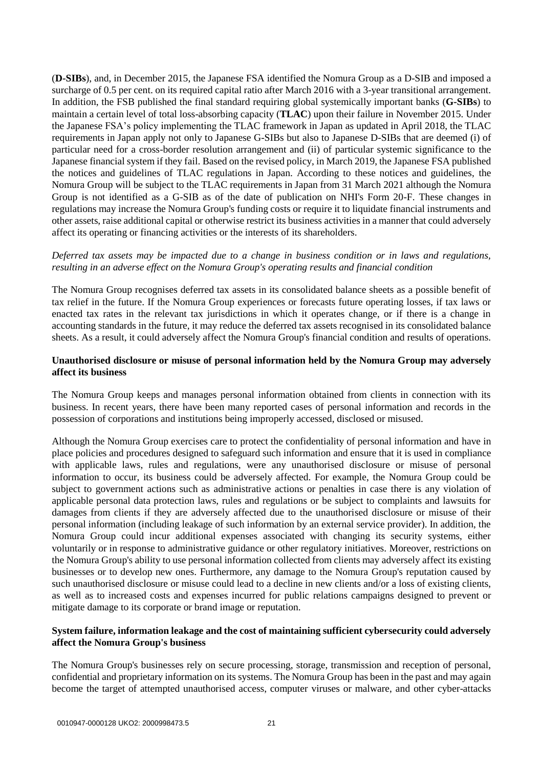(**D-SIBs**), and, in December 2015, the Japanese FSA identified the Nomura Group as a D-SIB and imposed a surcharge of 0.5 per cent. on its required capital ratio after March 2016 with a 3-year transitional arrangement. In addition, the FSB published the final standard requiring global systemically important banks (**G-SIBs**) to maintain a certain level of total loss-absorbing capacity (**TLAC**) upon their failure in November 2015. Under the Japanese FSA's policy implementing the TLAC framework in Japan as updated in April 2018, the TLAC requirements in Japan apply not only to Japanese G-SIBs but also to Japanese D-SIBs that are deemed (i) of particular need for a cross-border resolution arrangement and (ii) of particular systemic significance to the Japanese financial system if they fail. Based on the revised policy, in March 2019, the Japanese FSA published the notices and guidelines of TLAC regulations in Japan. According to these notices and guidelines, the Nomura Group will be subject to the TLAC requirements in Japan from 31 March 2021 although the Nomura Group is not identified as a G-SIB as of the date of publication on NHI's Form 20-F. These changes in regulations may increase the Nomura Group's funding costs or require it to liquidate financial instruments and other assets, raise additional capital or otherwise restrict its business activities in a manner that could adversely affect its operating or financing activities or the interests of its shareholders.

## *Deferred tax assets may be impacted due to a change in business condition or in laws and regulations, resulting in an adverse effect on the Nomura Group's operating results and financial condition*

The Nomura Group recognises deferred tax assets in its consolidated balance sheets as a possible benefit of tax relief in the future. If the Nomura Group experiences or forecasts future operating losses, if tax laws or enacted tax rates in the relevant tax jurisdictions in which it operates change, or if there is a change in accounting standards in the future, it may reduce the deferred tax assets recognised in its consolidated balance sheets. As a result, it could adversely affect the Nomura Group's financial condition and results of operations.

#### **Unauthorised disclosure or misuse of personal information held by the Nomura Group may adversely affect its business**

The Nomura Group keeps and manages personal information obtained from clients in connection with its business. In recent years, there have been many reported cases of personal information and records in the possession of corporations and institutions being improperly accessed, disclosed or misused.

Although the Nomura Group exercises care to protect the confidentiality of personal information and have in place policies and procedures designed to safeguard such information and ensure that it is used in compliance with applicable laws, rules and regulations, were any unauthorised disclosure or misuse of personal information to occur, its business could be adversely affected. For example, the Nomura Group could be subject to government actions such as administrative actions or penalties in case there is any violation of applicable personal data protection laws, rules and regulations or be subject to complaints and lawsuits for damages from clients if they are adversely affected due to the unauthorised disclosure or misuse of their personal information (including leakage of such information by an external service provider). In addition, the Nomura Group could incur additional expenses associated with changing its security systems, either voluntarily or in response to administrative guidance or other regulatory initiatives. Moreover, restrictions on the Nomura Group's ability to use personal information collected from clients may adversely affect its existing businesses or to develop new ones. Furthermore, any damage to the Nomura Group's reputation caused by such unauthorised disclosure or misuse could lead to a decline in new clients and/or a loss of existing clients, as well as to increased costs and expenses incurred for public relations campaigns designed to prevent or mitigate damage to its corporate or brand image or reputation.

#### **System failure, information leakage and the cost of maintaining sufficient cybersecurity could adversely affect the Nomura Group's business**

The Nomura Group's businesses rely on secure processing, storage, transmission and reception of personal, confidential and proprietary information on its systems. The Nomura Group has been in the past and may again become the target of attempted unauthorised access, computer viruses or malware, and other cyber-attacks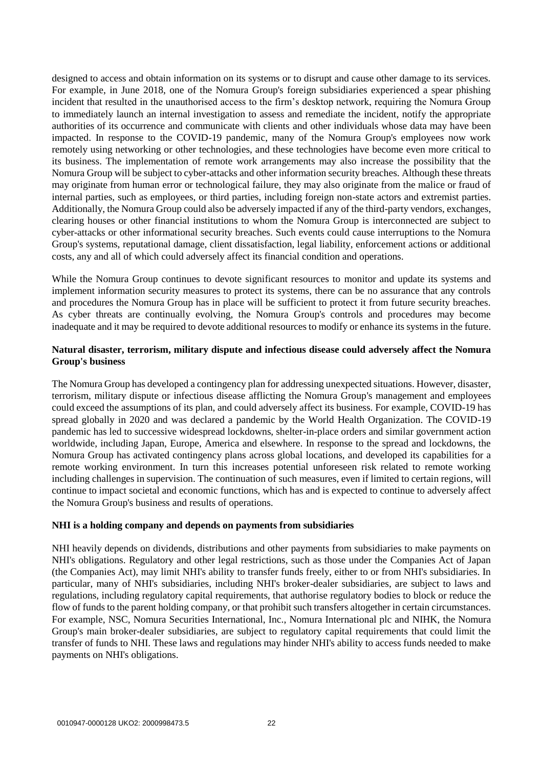designed to access and obtain information on its systems or to disrupt and cause other damage to its services. For example, in June 2018, one of the Nomura Group's foreign subsidiaries experienced a spear phishing incident that resulted in the unauthorised access to the firm's desktop network, requiring the Nomura Group to immediately launch an internal investigation to assess and remediate the incident, notify the appropriate authorities of its occurrence and communicate with clients and other individuals whose data may have been impacted. In response to the COVID-19 pandemic, many of the Nomura Group's employees now work remotely using networking or other technologies, and these technologies have become even more critical to its business. The implementation of remote work arrangements may also increase the possibility that the Nomura Group will be subject to cyber-attacks and other information security breaches. Although these threats may originate from human error or technological failure, they may also originate from the malice or fraud of internal parties, such as employees, or third parties, including foreign non-state actors and extremist parties. Additionally, the Nomura Group could also be adversely impacted if any of the third-party vendors, exchanges, clearing houses or other financial institutions to whom the Nomura Group is interconnected are subject to cyber-attacks or other informational security breaches. Such events could cause interruptions to the Nomura Group's systems, reputational damage, client dissatisfaction, legal liability, enforcement actions or additional costs, any and all of which could adversely affect its financial condition and operations.

While the Nomura Group continues to devote significant resources to monitor and update its systems and implement information security measures to protect its systems, there can be no assurance that any controls and procedures the Nomura Group has in place will be sufficient to protect it from future security breaches. As cyber threats are continually evolving, the Nomura Group's controls and procedures may become inadequate and it may be required to devote additional resources to modify or enhance its systems in the future.

## **Natural disaster, terrorism, military dispute and infectious disease could adversely affect the Nomura Group's business**

The Nomura Group has developed a contingency plan for addressing unexpected situations. However, disaster, terrorism, military dispute or infectious disease afflicting the Nomura Group's management and employees could exceed the assumptions of its plan, and could adversely affect its business. For example, COVID-19 has spread globally in 2020 and was declared a pandemic by the World Health Organization. The COVID-19 pandemic has led to successive widespread lockdowns, shelter-in-place orders and similar government action worldwide, including Japan, Europe, America and elsewhere. In response to the spread and lockdowns, the Nomura Group has activated contingency plans across global locations, and developed its capabilities for a remote working environment. In turn this increases potential unforeseen risk related to remote working including challenges in supervision. The continuation of such measures, even if limited to certain regions, will continue to impact societal and economic functions, which has and is expected to continue to adversely affect the Nomura Group's business and results of operations.

#### **NHI is a holding company and depends on payments from subsidiaries**

NHI heavily depends on dividends, distributions and other payments from subsidiaries to make payments on NHI's obligations. Regulatory and other legal restrictions, such as those under the Companies Act of Japan (the Companies Act), may limit NHI's ability to transfer funds freely, either to or from NHI's subsidiaries. In particular, many of NHI's subsidiaries, including NHI's broker-dealer subsidiaries, are subject to laws and regulations, including regulatory capital requirements, that authorise regulatory bodies to block or reduce the flow of funds to the parent holding company, or that prohibit such transfers altogether in certain circumstances. For example, NSC, Nomura Securities International, Inc., Nomura International plc and NIHK, the Nomura Group's main broker-dealer subsidiaries, are subject to regulatory capital requirements that could limit the transfer of funds to NHI. These laws and regulations may hinder NHI's ability to access funds needed to make payments on NHI's obligations.